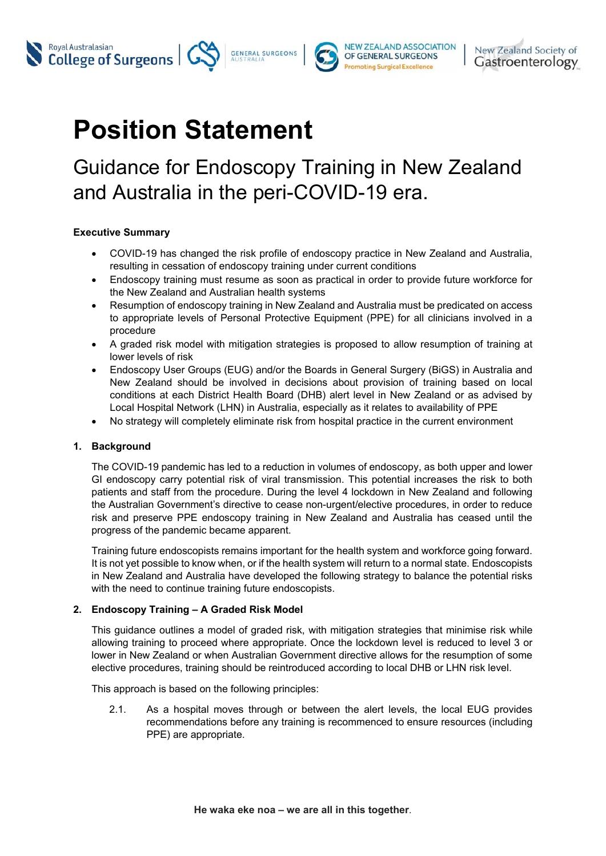



# **Position Statement**

## Guidance for Endoscopy Training in New Zealand and Australia in the peri-COVID-19 era.

### **Executive Summary**

- COVID-19 has changed the risk profile of endoscopy practice in New Zealand and Australia, resulting in cessation of endoscopy training under current conditions
- Endoscopy training must resume as soon as practical in order to provide future workforce for the New Zealand and Australian health systems
- Resumption of endoscopy training in New Zealand and Australia must be predicated on access to appropriate levels of Personal Protective Equipment (PPE) for all clinicians involved in a procedure
- A graded risk model with mitigation strategies is proposed to allow resumption of training at lower levels of risk
- Endoscopy User Groups (EUG) and/or the Boards in General Surgery (BiGS) in Australia and New Zealand should be involved in decisions about provision of training based on local conditions at each District Health Board (DHB) alert level in New Zealand or as advised by Local Hospital Network (LHN) in Australia, especially as it relates to availability of PPE
- No strategy will completely eliminate risk from hospital practice in the current environment

### **1. Background**

The COVID-19 pandemic has led to a reduction in volumes of endoscopy, as both upper and lower GI endoscopy carry potential risk of viral transmission. This potential increases the risk to both patients and staff from the procedure. During the level 4 lockdown in New Zealand and following the Australian Government's directive to cease non-urgent/elective procedures, in order to reduce risk and preserve PPE endoscopy training in New Zealand and Australia has ceased until the progress of the pandemic became apparent.

Training future endoscopists remains important for the health system and workforce going forward. It is not yet possible to know when, or if the health system will return to a normal state. Endoscopists in New Zealand and Australia have developed the following strategy to balance the potential risks with the need to continue training future endoscopists.

### **2. Endoscopy Training – A Graded Risk Model**

This guidance outlines a model of graded risk, with mitigation strategies that minimise risk while allowing training to proceed where appropriate. Once the lockdown level is reduced to level 3 or lower in New Zealand or when Australian Government directive allows for the resumption of some elective procedures, training should be reintroduced according to local DHB or LHN risk level.

This approach is based on the following principles:

2.1. As a hospital moves through or between the alert levels, the local EUG provides recommendations before any training is recommenced to ensure resources (including PPE) are appropriate.